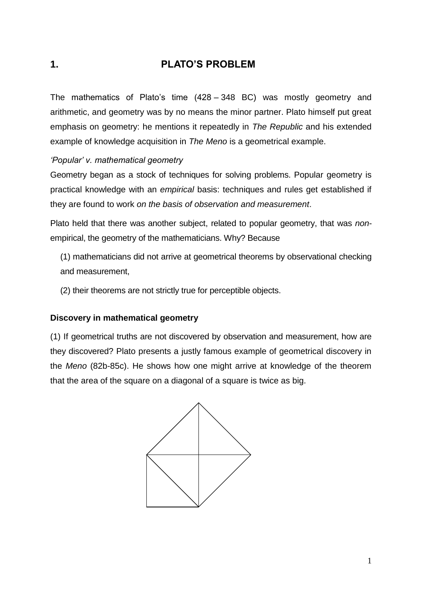# **1. PLATO'S PROBLEM**

The mathematics of Plato's time (428 – 348 BC) was mostly geometry and arithmetic, and geometry was by no means the minor partner. Plato himself put great emphasis on geometry: he mentions it repeatedly in *The Republic* and his extended example of knowledge acquisition in *The Meno* is a geometrical example.

## *'Popular' v. mathematical geometry*

Geometry began as a stock of techniques for solving problems. Popular geometry is practical knowledge with an *empirical* basis: techniques and rules get established if they are found to work *on the basis of observation and measurement*.

Plato held that there was another subject, related to popular geometry, that was *non*empirical, the geometry of the mathematicians. Why? Because

(1) mathematicians did not arrive at geometrical theorems by observational checking and measurement,

(2) their theorems are not strictly true for perceptible objects.

### **Discovery in mathematical geometry**

(1) If geometrical truths are not discovered by observation and measurement, how are they discovered? Plato presents a justly famous example of geometrical discovery in the *Meno* (82b-85c). He shows how one might arrive at knowledge of the theorem that the area of the square on a diagonal of a square is twice as big.

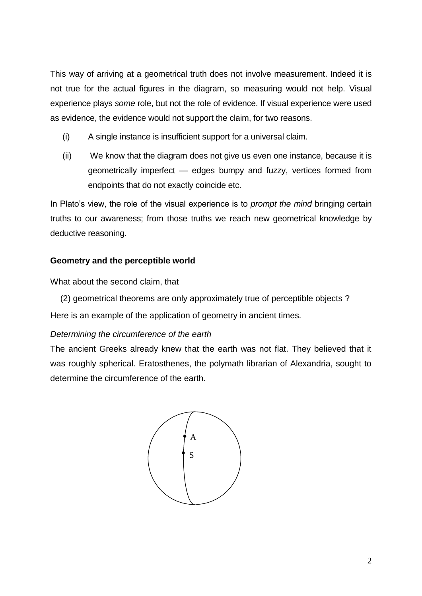This way of arriving at a geometrical truth does not involve measurement. Indeed it is not true for the actual figures in the diagram, so measuring would not help. Visual experience plays *some* role, but not the role of evidence. If visual experience were used as evidence, the evidence would not support the claim, for two reasons.

- (i) A single instance is insufficient support for a universal claim.
- (ii) We know that the diagram does not give us even one instance, because it is geometrically imperfect — edges bumpy and fuzzy, vertices formed from endpoints that do not exactly coincide etc.

In Plato's view, the role of the visual experience is to *prompt the mind* bringing certain truths to our awareness; from those truths we reach new geometrical knowledge by deductive reasoning.

## **Geometry and the perceptible world**

What about the second claim, that

(2) geometrical theorems are only approximately true of perceptible objects ? Here is an example of the application of geometry in ancient times.

### *Determining the circumference of the earth*

The ancient Greeks already knew that the earth was not flat. They believed that it was roughly spherical. Eratosthenes, the polymath librarian of Alexandria, sought to determine the circumference of the earth.

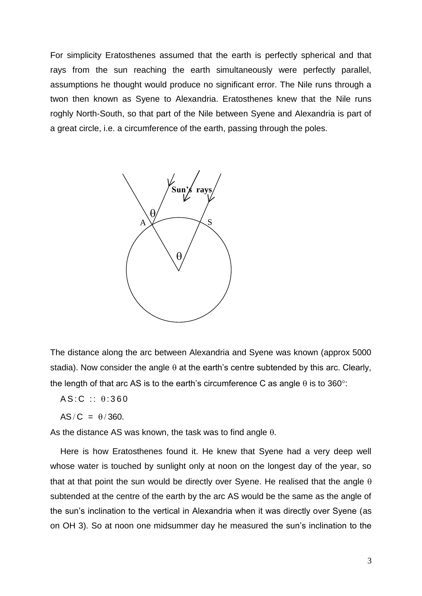For simplicity Eratosthenes assumed that the earth is perfectly spherical and that rays from the sun reaching the earth simultaneously were perfectly parallel, assumptions he thought would produce no significant error. The Nile runs through a twon then known as Syene to Alexandria. Eratosthenes knew that the Nile runs roghly North-South, so that part of the Nile between Syene and Alexandria is part of a great circle, i.e. a circumference of the earth, passing through the poles.



The distance along the arc between Alexandria and Syene was known (approx 5000 stadia). Now consider the angle  $\theta$  at the earth's centre subtended by this arc. Clearly, the length of that arc AS is to the earth's circumference C as angle  $\theta$  is to 360°:

 $AS:C :: \theta:360$ 

 $AS/C = \theta/360$ .

As the distance AS was known, the task was to find angle  $\theta$ .

Here is how Eratosthenes found it. He knew that Syene had a very deep well whose water is touched by sunlight only at noon on the longest day of the year, so that at that point the sun would be directly over Syene. He realised that the angle  $\theta$ subtended at the centre of the earth by the arc AS would be the same as the angle of the sun's inclination to the vertical in Alexandria when it was directly over Syene (as on OH 3). So at noon one midsummer day he measured the sun's inclination to the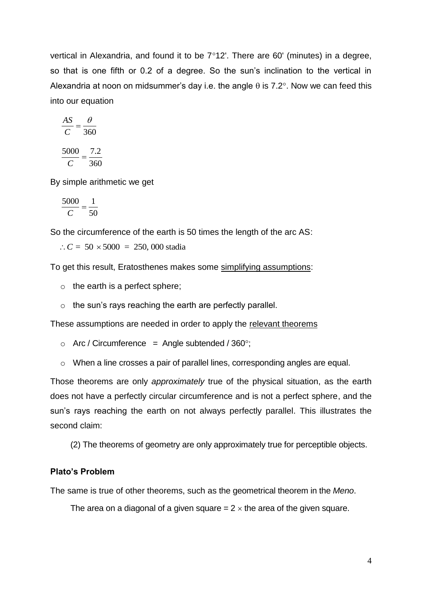vertical in Alexandria, and found it to be  $7^{\circ}12'$ . There are 60' (minutes) in a degree, so that is one fifth or 0.2 of a degree. So the sun's inclination to the vertical in Alexandria at noon on midsummer's day i.e. the angle  $\theta$  is 7.2°. Now we can feed this into our equation

$$
\frac{AS}{C} = \frac{\theta}{360}
$$
  
5000 7.2

*C* 360  $=$ 

By simple arithmetic we get

$$
\frac{5000}{C} = \frac{1}{50}
$$

So the circumference of the earth is 50 times the length of the arc AS:

 $C = 50 \times 5000 = 250,000$  stadia

To get this result, Eratosthenes makes some simplifying assumptions:

- $\circ$  the earth is a perfect sphere;
- o the sun's rays reaching the earth are perfectly parallel.

These assumptions are needed in order to apply the relevant theorems

- $\circ$  Arc / Circumference = Angle subtended / 360°;
- o When a line crosses a pair of parallel lines, corresponding angles are equal.

Those theorems are only *approximately* true of the physical situation, as the earth does not have a perfectly circular circumference and is not a perfect sphere, and the sun's rays reaching the earth on not always perfectly parallel. This illustrates the second claim:

(2) The theorems of geometry are only approximately true for perceptible objects.

### **Plato's Problem**

The same is true of other theorems, such as the geometrical theorem in the *Meno*.

The area on a diagonal of a given square  $= 2 \times$  the area of the given square.